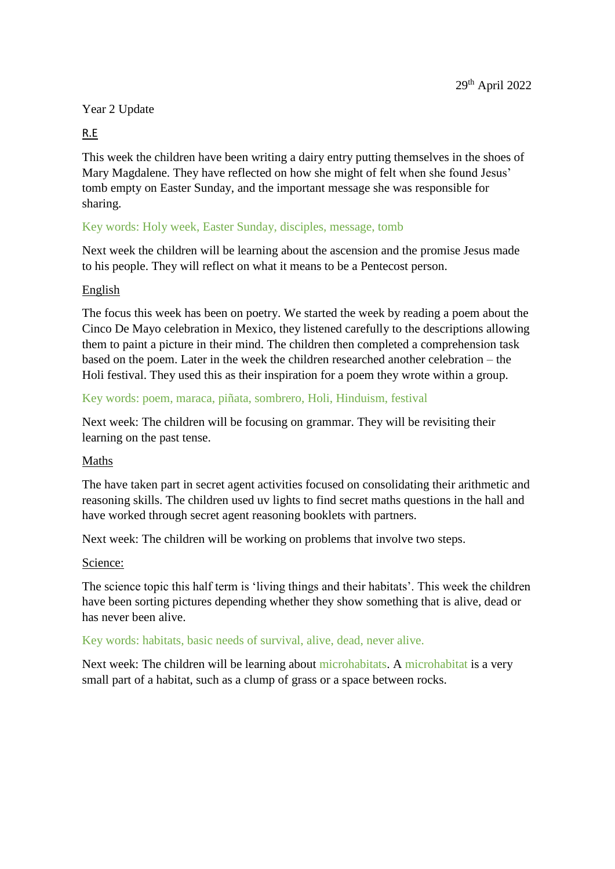# Year 2 Update

# R.E

This week the children have been writing a dairy entry putting themselves in the shoes of Mary Magdalene. They have reflected on how she might of felt when she found Jesus' tomb empty on Easter Sunday, and the important message she was responsible for sharing.

# Key words: Holy week, Easter Sunday, disciples, message, tomb

Next week the children will be learning about the ascension and the promise Jesus made to his people. They will reflect on what it means to be a Pentecost person.

## English

The focus this week has been on poetry. We started the week by reading a poem about the Cinco De Mayo celebration in Mexico, they listened carefully to the descriptions allowing them to paint a picture in their mind. The children then completed a comprehension task based on the poem. Later in the week the children researched another celebration – the Holi festival. They used this as their inspiration for a poem they wrote within a group.

# Key words: poem, maraca, piñata, sombrero, Holi, Hinduism, festival

Next week: The children will be focusing on grammar. They will be revisiting their learning on the past tense.

## Maths

The have taken part in secret agent activities focused on consolidating their arithmetic and reasoning skills. The children used uv lights to find secret maths questions in the hall and have worked through secret agent reasoning booklets with partners.

Next week: The children will be working on problems that involve two steps.

## Science:

The science topic this half term is 'living things and their habitats'. This week the children have been sorting pictures depending whether they show something that is alive, dead or has never been alive.

## Key words: habitats, basic needs of survival, alive, dead, never alive.

Next week: The children will be learning about microhabitats. A microhabitat is a very small part of a habitat, such as a clump of grass or a space between rocks.